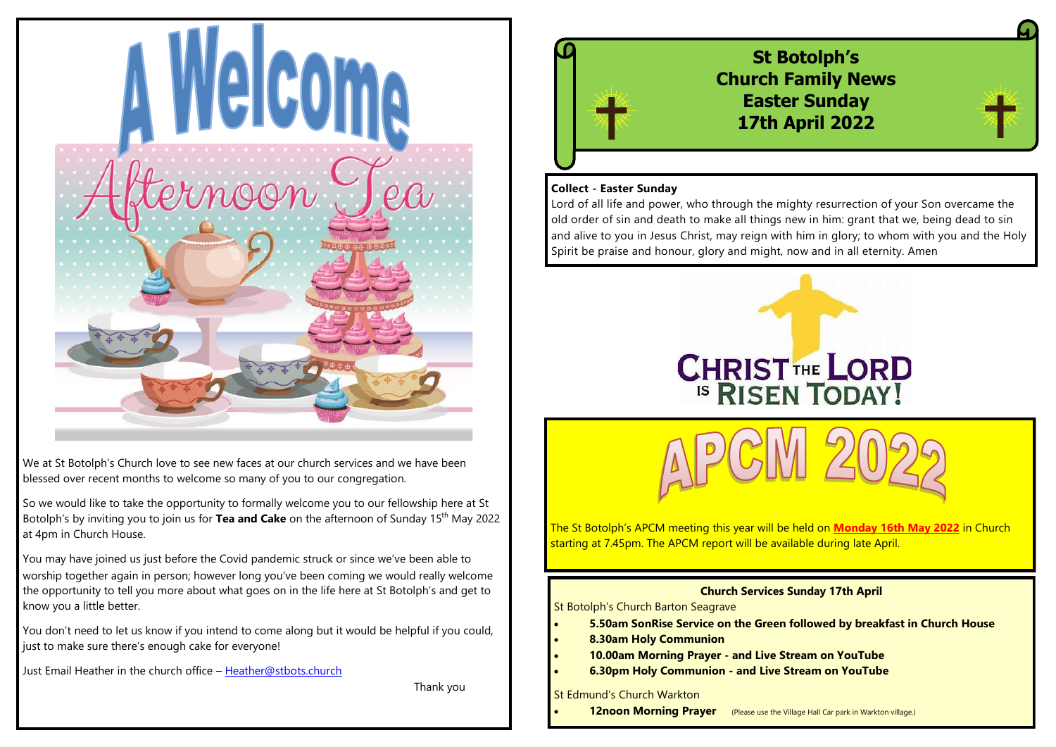

We at St Botolph's Church love to see new faces at our church services and we have been blessed over recent months to welcome so many of you to our congregation.

So we would like to take the opportunity to formally welcome you to our fellowship here at St Botolph's by inviting you to join us for **Tea and Cake** on the afternoon of Sunday 15<sup>th</sup> May 2022 at 4pm in Church House.

You may have joined us just before the Covid pandemic struck or since we've been able to worship together again in person; however long you've been coming we would really welcome the opportunity to tell you more about what goes on in the life here at St Botolph's and get to know you a little better.

You don't need to let us know if you intend to come along but it would be helpful if you could, just to make sure there's enough cake for everyone!

Just Email Heather in the church office – [Heather@stbots.church](mailto:Heather@stbots.church)

Thank you



## **Collect - Easter Sunday**

Lord of all life and power, who through the mighty resurrection of your Son overcame the old order of sin and death to make all things new in him: grant that we, being dead to sin and alive to you in Jesus Christ, may reign with him in glory; to whom with you and the Holy Spirit be praise and honour, glory and might, now and in all eternity. Amen



The St Botolph's APCM meeting this year will be held on **Monday 16th May 2022** in Church starting at 7.45pm. The APCM report will be available during late April.

### **Church Services Sunday 17th April**

St Botolph's Church Barton Seagrave

- **5.50am SonRise Service on the Green followed by breakfast in Church House**
- **8.30am Holy Communion**
- **10.00am Morning Prayer - and Live Stream on YouTube**
- **6.30pm Holy Communion - and Live Stream on YouTube**

St Edmund's Church Warkton

**12noon Morning Prayer** (Please use the Village Hall Car park in Warkton village.)